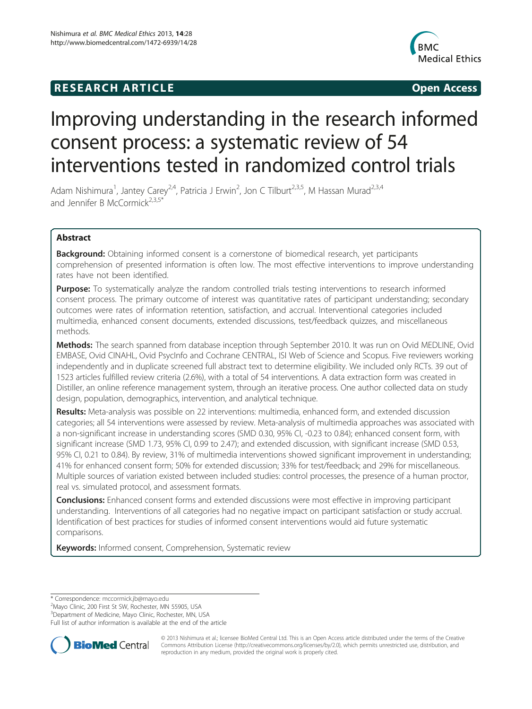# **RESEARCH ARTICLE CONSUMING A RESEARCH ARTICLE**



# Improving understanding in the research informed consent process: a systematic review of 54 interventions tested in randomized control trials

Adam Nishimura<sup>1</sup>, Jantey Carey<sup>2,4</sup>, Patricia J Erwin<sup>2</sup>, Jon C Tilburt<sup>2,3,5</sup>, M Hassan Murad<sup>2,3,4</sup> and Jennifer B McCormick<sup>2,3,5\*</sup>

# Abstract

**Background:** Obtaining informed consent is a cornerstone of biomedical research, yet participants comprehension of presented information is often low. The most effective interventions to improve understanding rates have not been identified.

**Purpose:** To systematically analyze the random controlled trials testing interventions to research informed consent process. The primary outcome of interest was quantitative rates of participant understanding; secondary outcomes were rates of information retention, satisfaction, and accrual. Interventional categories included multimedia, enhanced consent documents, extended discussions, test/feedback quizzes, and miscellaneous methods.

Methods: The search spanned from database inception through September 2010. It was run on Ovid MEDLINE, Ovid EMBASE, Ovid CINAHL, Ovid PsycInfo and Cochrane CENTRAL, ISI Web of Science and Scopus. Five reviewers working independently and in duplicate screened full abstract text to determine eligibility. We included only RCTs. 39 out of 1523 articles fulfilled review criteria (2.6%), with a total of 54 interventions. A data extraction form was created in Distiller, an online reference management system, through an iterative process. One author collected data on study design, population, demographics, intervention, and analytical technique.

Results: Meta-analysis was possible on 22 interventions: multimedia, enhanced form, and extended discussion categories; all 54 interventions were assessed by review. Meta-analysis of multimedia approaches was associated with a non-significant increase in understanding scores (SMD 0.30, 95% CI, -0.23 to 0.84); enhanced consent form, with significant increase (SMD 1.73, 95% CI, 0.99 to 2.47); and extended discussion, with significant increase (SMD 0.53, 95% CI, 0.21 to 0.84). By review, 31% of multimedia interventions showed significant improvement in understanding; 41% for enhanced consent form; 50% for extended discussion; 33% for test/feedback; and 29% for miscellaneous. Multiple sources of variation existed between included studies: control processes, the presence of a human proctor, real vs. simulated protocol, and assessment formats.

**Conclusions:** Enhanced consent forms and extended discussions were most effective in improving participant understanding. Interventions of all categories had no negative impact on participant satisfaction or study accrual. Identification of best practices for studies of informed consent interventions would aid future systematic comparisons.

Keywords: Informed consent, Comprehension, Systematic review

\* Correspondence: [mccormick.jb@mayo.edu](mailto:mccormick.jb@mayo.edu) <sup>2</sup>

<sup>2</sup>Mayo Clinic, 200 First St SW, Rochester, MN 55905, USA

<sup>3</sup>Department of Medicine, Mayo Clinic, Rochester, MN, USA

Full list of author information is available at the end of the article



© 2013 Nishimura et al.; licensee BioMed Central Ltd. This is an Open Access article distributed under the terms of the Creative Commons Attribution License [\(http://creativecommons.org/licenses/by/2.0\)](http://creativecommons.org/licenses/by/2.0), which permits unrestricted use, distribution, and reproduction in any medium, provided the original work is properly cited.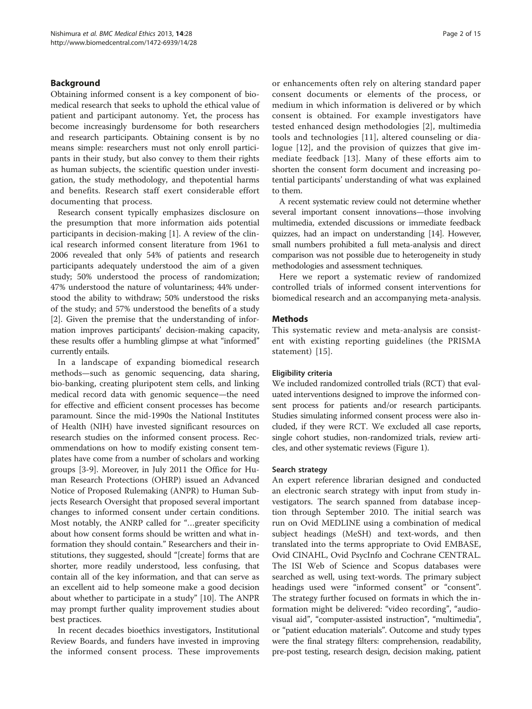# Background

Obtaining informed consent is a key component of biomedical research that seeks to uphold the ethical value of patient and participant autonomy. Yet, the process has become increasingly burdensome for both researchers and research participants. Obtaining consent is by no means simple: researchers must not only enroll participants in their study, but also convey to them their rights as human subjects, the scientific question under investigation, the study methodology, and thepotential harms and benefits. Research staff exert considerable effort documenting that process.

Research consent typically emphasizes disclosure on the presumption that more information aids potential participants in decision-making [\[1](#page-13-0)]. A review of the clinical research informed consent literature from 1961 to 2006 revealed that only 54% of patients and research participants adequately understood the aim of a given study; 50% understood the process of randomization; 47% understood the nature of voluntariness; 44% understood the ability to withdraw; 50% understood the risks of the study; and 57% understood the benefits of a study [[2\]](#page-13-0). Given the premise that the understanding of information improves participants' decision-making capacity, these results offer a humbling glimpse at what "informed" currently entails.

In a landscape of expanding biomedical research methods—such as genomic sequencing, data sharing, bio-banking, creating pluripotent stem cells, and linking medical record data with genomic sequence—the need for effective and efficient consent processes has become paramount. Since the mid-1990s the National Institutes of Health (NIH) have invested significant resources on research studies on the informed consent process. Recommendations on how to modify existing consent templates have come from a number of scholars and working groups [\[3](#page-13-0)-[9\]](#page-13-0). Moreover, in July 2011 the Office for Human Research Protections (OHRP) issued an Advanced Notice of Proposed Rulemaking (ANPR) to Human Subjects Research Oversight that proposed several important changes to informed consent under certain conditions. Most notably, the ANRP called for "…greater specificity about how consent forms should be written and what information they should contain." Researchers and their institutions, they suggested, should "[create] forms that are shorter, more readily understood, less confusing, that contain all of the key information, and that can serve as an excellent aid to help someone make a good decision about whether to participate in a study" [\[10\]](#page-13-0). The ANPR may prompt further quality improvement studies about best practices.

In recent decades bioethics investigators, Institutional Review Boards, and funders have invested in improving the informed consent process. These improvements or enhancements often rely on altering standard paper consent documents or elements of the process, or medium in which information is delivered or by which consent is obtained. For example investigators have tested enhanced design methodologies [\[2](#page-13-0)], multimedia tools and technologies [\[11](#page-13-0)], altered counseling or dialogue [[12](#page-13-0)], and the provision of quizzes that give immediate feedback [[13](#page-13-0)]. Many of these efforts aim to shorten the consent form document and increasing potential participants' understanding of what was explained to them.

A recent systematic review could not determine whether several important consent innovations—those involving multimedia, extended discussions or immediate feedback quizzes, had an impact on understanding [[14](#page-13-0)]. However, small numbers prohibited a full meta-analysis and direct comparison was not possible due to heterogeneity in study methodologies and assessment techniques.

Here we report a systematic review of randomized controlled trials of informed consent interventions for biomedical research and an accompanying meta-analysis.

# Methods

This systematic review and meta-analysis are consistent with existing reporting guidelines (the PRISMA statement) [[15\]](#page-13-0).

#### Eligibility criteria

We included randomized controlled trials (RCT) that evaluated interventions designed to improve the informed consent process for patients and/or research participants. Studies simulating informed consent process were also included, if they were RCT. We excluded all case reports, single cohort studies, non-randomized trials, review articles, and other systematic reviews (Figure [1](#page-2-0)).

#### Search strategy

An expert reference librarian designed and conducted an electronic search strategy with input from study investigators. The search spanned from database inception through September 2010. The initial search was run on Ovid MEDLINE using a combination of medical subject headings (MeSH) and text-words, and then translated into the terms appropriate to Ovid EMBASE, Ovid CINAHL, Ovid PsycInfo and Cochrane CENTRAL. The ISI Web of Science and Scopus databases were searched as well, using text-words. The primary subject headings used were "informed consent" or "consent". The strategy further focused on formats in which the information might be delivered: "video recording", "audiovisual aid", "computer-assisted instruction", "multimedia", or "patient education materials". Outcome and study types were the final strategy filters: comprehension, readability, pre-post testing, research design, decision making, patient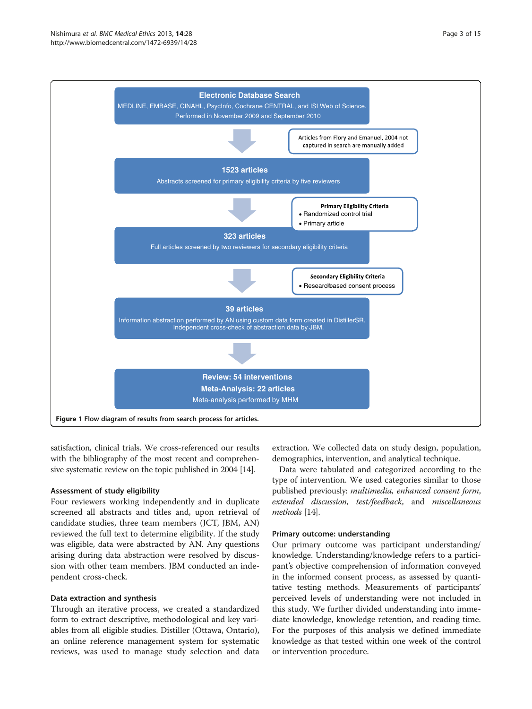<span id="page-2-0"></span>

satisfaction, clinical trials. We cross-referenced our results with the bibliography of the most recent and comprehensive systematic review on the topic published in 2004 [[14](#page-13-0)].

# Assessment of study eligibility

Four reviewers working independently and in duplicate screened all abstracts and titles and, upon retrieval of candidate studies, three team members (JCT, JBM, AN) reviewed the full text to determine eligibility. If the study was eligible, data were abstracted by AN. Any questions arising during data abstraction were resolved by discussion with other team members. JBM conducted an independent cross-check.

# Data extraction and synthesis

Through an iterative process, we created a standardized form to extract descriptive, methodological and key variables from all eligible studies. Distiller (Ottawa, Ontario), an online reference management system for systematic reviews, was used to manage study selection and data

extraction. We collected data on study design, population, demographics, intervention, and analytical technique.

Data were tabulated and categorized according to the type of intervention. We used categories similar to those published previously: multimedia, enhanced consent form, extended discussion, test/feedback, and miscellaneous methods [[14](#page-13-0)].

# Primary outcome: understanding

Our primary outcome was participant understanding/ knowledge. Understanding/knowledge refers to a participant's objective comprehension of information conveyed in the informed consent process, as assessed by quantitative testing methods. Measurements of participants' perceived levels of understanding were not included in this study. We further divided understanding into immediate knowledge, knowledge retention, and reading time. For the purposes of this analysis we defined immediate knowledge as that tested within one week of the control or intervention procedure.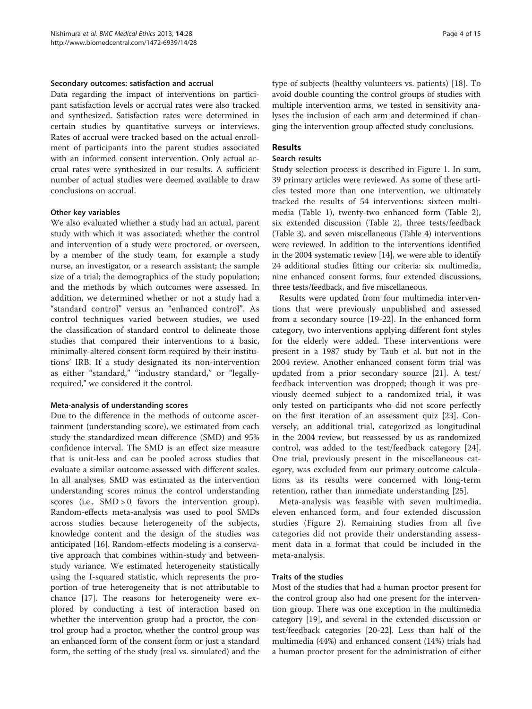#### Secondary outcomes: satisfaction and accrual

Data regarding the impact of interventions on participant satisfaction levels or accrual rates were also tracked and synthesized. Satisfaction rates were determined in certain studies by quantitative surveys or interviews. Rates of accrual were tracked based on the actual enrollment of participants into the parent studies associated with an informed consent intervention. Only actual accrual rates were synthesized in our results. A sufficient number of actual studies were deemed available to draw conclusions on accrual.

#### Other key variables

We also evaluated whether a study had an actual, parent study with which it was associated; whether the control and intervention of a study were proctored, or overseen, by a member of the study team, for example a study nurse, an investigator, or a research assistant; the sample size of a trial; the demographics of the study population; and the methods by which outcomes were assessed. In addition, we determined whether or not a study had a "standard control" versus an "enhanced control". As control techniques varied between studies, we used the classification of standard control to delineate those studies that compared their interventions to a basic, minimally-altered consent form required by their institutions' IRB. If a study designated its non-intervention as either "standard," "industry standard," or "legallyrequired," we considered it the control.

#### Meta-analysis of understanding scores

Due to the difference in the methods of outcome ascertainment (understanding score), we estimated from each study the standardized mean difference (SMD) and 95% confidence interval. The SMD is an effect size measure that is unit-less and can be pooled across studies that evaluate a similar outcome assessed with different scales. In all analyses, SMD was estimated as the intervention understanding scores minus the control understanding scores (i.e., SMD > 0 favors the intervention group). Random-effects meta-analysis was used to pool SMDs across studies because heterogeneity of the subjects, knowledge content and the design of the studies was anticipated [[16\]](#page-13-0). Random-effects modeling is a conservative approach that combines within-study and betweenstudy variance. We estimated heterogeneity statistically using the I-squared statistic, which represents the proportion of true heterogeneity that is not attributable to chance [\[17\]](#page-13-0). The reasons for heterogeneity were explored by conducting a test of interaction based on whether the intervention group had a proctor, the control group had a proctor, whether the control group was an enhanced form of the consent form or just a standard form, the setting of the study (real vs. simulated) and the type of subjects (healthy volunteers vs. patients) [[18](#page-13-0)]. To avoid double counting the control groups of studies with multiple intervention arms, we tested in sensitivity analyses the inclusion of each arm and determined if changing the intervention group affected study conclusions.

# Results

#### Search results

Study selection process is described in Figure [1.](#page-2-0) In sum, 39 primary articles were reviewed. As some of these articles tested more than one intervention, we ultimately tracked the results of 54 interventions: sixteen multimedia (Table [1](#page-4-0)), twenty-two enhanced form (Table [2](#page-6-0)), six extended discussion (Table [2\)](#page-6-0), three tests/feedback (Table [3](#page-7-0)), and seven miscellaneous (Table [4](#page-8-0)) interventions were reviewed. In addition to the interventions identified in the 2004 systematic review [\[14\]](#page-13-0), we were able to identify 24 additional studies fitting our criteria: six multimedia, nine enhanced consent forms, four extended discussions, three tests/feedback, and five miscellaneous.

Results were updated from four multimedia interventions that were previously unpublished and assessed from a secondary source [[19-22\]](#page-13-0). In the enhanced form category, two interventions applying different font styles for the elderly were added. These interventions were present in a 1987 study by Taub et al. but not in the 2004 review. Another enhanced consent form trial was updated from a prior secondary source [\[21\]](#page-13-0). A test/ feedback intervention was dropped; though it was previously deemed subject to a randomized trial, it was only tested on participants who did not score perfectly on the first iteration of an assessment quiz [\[23\]](#page-13-0). Conversely, an additional trial, categorized as longitudinal in the 2004 review, but reassessed by us as randomized control, was added to the test/feedback category [\[24](#page-13-0)]. One trial, previously present in the miscellaneous category, was excluded from our primary outcome calculations as its results were concerned with long-term retention, rather than immediate understanding [[25](#page-13-0)].

Meta-analysis was feasible with seven multimedia, eleven enhanced form, and four extended discussion studies (Figure [2\)](#page-8-0). Remaining studies from all five categories did not provide their understanding assessment data in a format that could be included in the meta-analysis.

# Traits of the studies

Most of the studies that had a human proctor present for the control group also had one present for the intervention group. There was one exception in the multimedia category [[19\]](#page-13-0), and several in the extended discussion or test/feedback categories [\[20](#page-13-0)-[22\]](#page-13-0). Less than half of the multimedia (44%) and enhanced consent (14%) trials had a human proctor present for the administration of either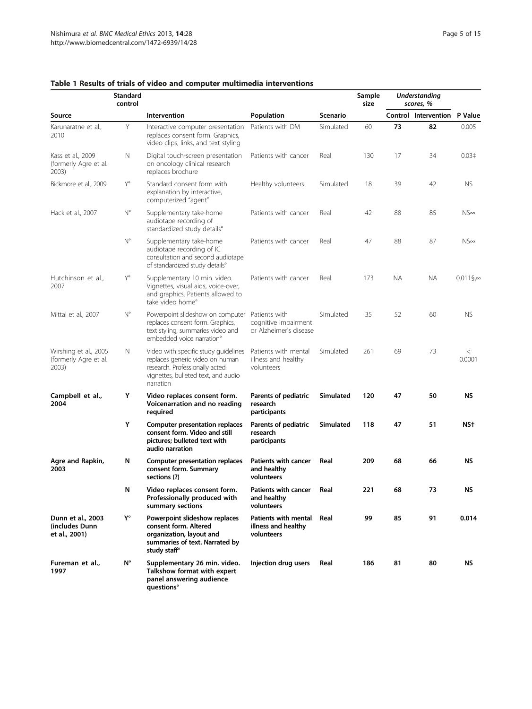|                                                         | <b>Standard</b><br>control |                                                                                                                                                               |                                                                  |           | Sample<br>size |           | <b>Understanding</b><br>scores, % |                     |
|---------------------------------------------------------|----------------------------|---------------------------------------------------------------------------------------------------------------------------------------------------------------|------------------------------------------------------------------|-----------|----------------|-----------|-----------------------------------|---------------------|
| Source                                                  |                            | Intervention                                                                                                                                                  | Population                                                       | Scenario  |                |           | Control Intervention P Value      |                     |
| Karunaratne et al.,<br>2010                             | Y                          | Interactive computer presentation<br>replaces consent form. Graphics,<br>video clips, links, and text styling                                                 | Patients with DM                                                 | Simulated | 60             | 73        | 82                                | 0.005               |
| Kass et al., 2009<br>(formerly Agre et al.<br>2003)     | N                          | Digital touch-screen presentation<br>on oncology clinical research<br>replaces brochure                                                                       | Patients with cancer                                             | Real      | 130            | 17        | 34                                | 0.03 <sup>‡</sup>   |
| Bickmore et al., 2009                                   | Y°                         | Standard consent form with<br>explanation by interactive,<br>computerized "agent"                                                                             | Healthy volunteers                                               | Simulated | 18             | 39        | 42                                | <b>NS</b>           |
| Hack et al., 2007                                       | $\mathsf{N}^\circ$         | Supplementary take-home<br>audiotape recording of<br>standardized study details°                                                                              | Patients with cancer                                             | Real      | 42             | 88        | 85                                | $NS\infty$          |
|                                                         | $N^{\circ}$                | Supplementary take-home<br>audiotape recording of IC<br>consultation and second audiotape<br>of standardized study details°                                   | Patients with cancer                                             | Real      | 47             | 88        | 87                                | $NS\infty$          |
| Hutchinson et al.,<br>2007                              | Y°                         | Supplementary 10 min. video.<br>Vignettes, visual aids, voice-over,<br>and graphics. Patients allowed to<br>take video home°                                  | Patients with cancer                                             | Real      | 173            | <b>NA</b> | <b>NA</b>                         | $0.011\$ g $\infty$ |
| Mittal et al., 2007                                     | $\mathsf{N}^\circ$         | Powerpoint slideshow on computer<br>replaces consent form. Graphics,<br>text styling, summaries video and<br>embedded voice narration <sup>°</sup>            | Patients with<br>cognitive impairment<br>or Alzheimer's disease  | Simulated | 35             | 52        | 60                                | <b>NS</b>           |
| Wirshing et al., 2005<br>(formerly Agre et al.<br>2003) | N                          | Video with specific study guidelines<br>replaces generic video on human<br>research. Professionally acted<br>vignettes, bulleted text, and audio<br>narration | Patients with mental<br>illness and healthy<br>volunteers        | Simulated | 261            | 69        | 73                                | $\,<$<br>0.0001     |
| Campbell et al.,<br>2004                                | Y                          | Video replaces consent form.<br>Voicenarration and no reading<br>required                                                                                     | Parents of pediatric<br>research<br>participants                 | Simulated | 120            | 47        | 50                                | <b>NS</b>           |
|                                                         | Υ                          | <b>Computer presentation replaces</b><br>consent form. Video and still<br>pictures; bulleted text with<br>audio narration                                     | Parents of pediatric<br>research<br>participants                 | Simulated | 118            | 47        | 51                                | NS <sup>+</sup>     |
| Agre and Rapkin,<br>2003                                | N                          | Computer presentation replaces<br>consent form. Summary<br>sections (?)                                                                                       | <b>Patients with cancer</b><br>and healthy<br>volunteers         | Real      | 209            | 68        | 66                                | ΝS                  |
|                                                         | N                          | Video replaces consent form.<br>Professionally produced with<br>summary sections                                                                              | Patients with cancer<br>and healthy<br>volunteers                | Real      | 221            | 68        | 73                                | ΝS                  |
| Dunn et al., 2003<br>(includes Dunn<br>et al., 2001)    | Y°                         | Powerpoint slideshow replaces<br>consent form. Altered<br>organization, layout and<br>summaries of text. Narrated by<br>study staff <sup>®</sup>              | <b>Patients with mental</b><br>illness and healthy<br>volunteers | Real      | 99             | 85        | 91                                | 0.014               |
| Fureman et al.,<br>1997                                 | $N^{\circ}$                | Supplementary 26 min. video.<br>Talkshow format with expert<br>panel answering audience<br>questions°                                                         | Injection drug users                                             | Real      | 186            | 81        | 80                                | ΝS                  |

# <span id="page-4-0"></span>Table 1 Results of trials of video and computer multimedia interventions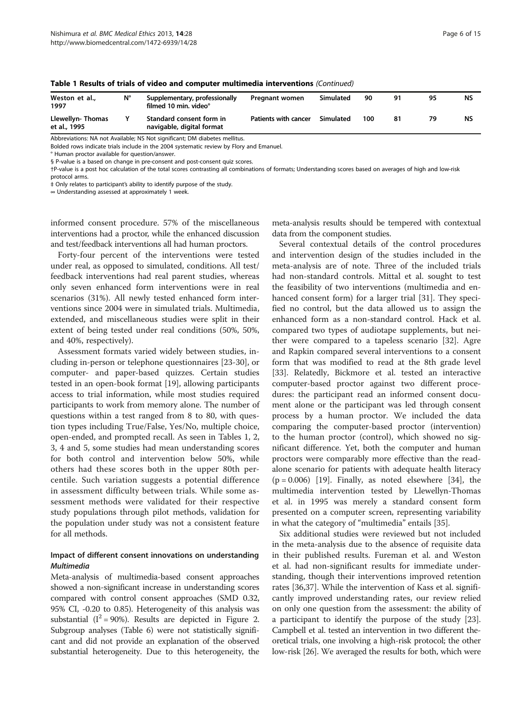| Weston et al.,<br>1997           | Ν° | Supplementary, professionally<br>filmed 10 min. video° | Pregnant women       | Simulated | 90  | 91 | 95 | NS |
|----------------------------------|----|--------------------------------------------------------|----------------------|-----------|-----|----|----|----|
| Llewellyn-Thomas<br>et al., 1995 |    | Standard consent form in<br>navigable, digital format  | Patients with cancer | Simulated | 100 | 81 |    | NS |

| Table 1 Results of trials of video and computer multimedia interventions (Continued) |  |
|--------------------------------------------------------------------------------------|--|
|--------------------------------------------------------------------------------------|--|

Abbreviations: NA not Available; NS Not significant; DM diabetes mellitus.

Bolded rows indicate trials include in the 2004 systematic review by Flory and Emanuel.

° Human proctor available for question/answer.

§ P-value is a based on change in pre-consent and post-consent quiz scores.

†P-value is a post hoc calculation of the total scores contrasting all combinations of formats; Understanding scores based on averages of high and low-risk

protocol arms.

‡ Only relates to participant's ability to identify purpose of the study.

∞ Understanding assessed at approximately 1 week.

informed consent procedure. 57% of the miscellaneous interventions had a proctor, while the enhanced discussion and test/feedback interventions all had human proctors.

Forty-four percent of the interventions were tested under real, as opposed to simulated, conditions. All test/ feedback interventions had real parent studies, whereas only seven enhanced form interventions were in real scenarios (31%). All newly tested enhanced form interventions since 2004 were in simulated trials. Multimedia, extended, and miscellaneous studies were split in their extent of being tested under real conditions (50%, 50%, and 40%, respectively).

Assessment formats varied widely between studies, including in-person or telephone questionnaires [[23](#page-13-0)-[30\]](#page-13-0), or computer- and paper-based quizzes. Certain studies tested in an open-book format [[19](#page-13-0)], allowing participants access to trial information, while most studies required participants to work from memory alone. The number of questions within a test ranged from 8 to 80, with question types including True/False, Yes/No, multiple choice, open-ended, and prompted recall. As seen in Tables [1](#page-4-0), [2](#page-6-0), [3,](#page-7-0) [4](#page-8-0) and [5](#page-9-0), some studies had mean understanding scores for both control and intervention below 50%, while others had these scores both in the upper 80th percentile. Such variation suggests a potential difference in assessment difficulty between trials. While some assessment methods were validated for their respective study populations through pilot methods, validation for the population under study was not a consistent feature for all methods.

# Impact of different consent innovations on understanding Multimedia

Meta-analysis of multimedia-based consent approaches showed a non-significant increase in understanding scores compared with control consent approaches (SMD 0.32, 95% CI, -0.20 to 0.85). Heterogeneity of this analysis was substantial ( $I^2$  = 90%). Results are depicted in Figure [2](#page-8-0). Subgroup analyses (Table [6\)](#page-10-0) were not statistically significant and did not provide an explanation of the observed substantial heterogeneity. Due to this heterogeneity, the meta-analysis results should be tempered with contextual data from the component studies.

Several contextual details of the control procedures and intervention design of the studies included in the meta-analysis are of note. Three of the included trials had non-standard controls. Mittal et al. sought to test the feasibility of two interventions (multimedia and en-hanced consent form) for a larger trial [[31\]](#page-13-0). They specified no control, but the data allowed us to assign the enhanced form as a non-standard control. Hack et al. compared two types of audiotape supplements, but neither were compared to a tapeless scenario [[32](#page-13-0)]. Agre and Rapkin compared several interventions to a consent form that was modified to read at the 8th grade level [[33\]](#page-13-0). Relatedly, Bickmore et al. tested an interactive computer-based proctor against two different procedures: the participant read an informed consent document alone or the participant was led through consent process by a human proctor. We included the data comparing the computer-based proctor (intervention) to the human proctor (control), which showed no significant difference. Yet, both the computer and human proctors were comparably more effective than the readalone scenario for patients with adequate health literacy  $(p = 0.006)$  [[19](#page-13-0)]. Finally, as noted elsewhere [[34](#page-13-0)], the multimedia intervention tested by Llewellyn-Thomas et al. in 1995 was merely a standard consent form presented on a computer screen, representing variability in what the category of "multimedia" entails [[35\]](#page-13-0).

Six additional studies were reviewed but not included in the meta-analysis due to the absence of requisite data in their published results. Fureman et al. and Weston et al. had non-significant results for immediate understanding, though their interventions improved retention rates [\[36,37\]](#page-13-0). While the intervention of Kass et al. significantly improved understanding rates, our review relied on only one question from the assessment: the ability of a participant to identify the purpose of the study [\[23](#page-13-0)]. Campbell et al. tested an intervention in two different theoretical trials, one involving a high-risk protocol; the other low-risk [\[26\]](#page-13-0). We averaged the results for both, which were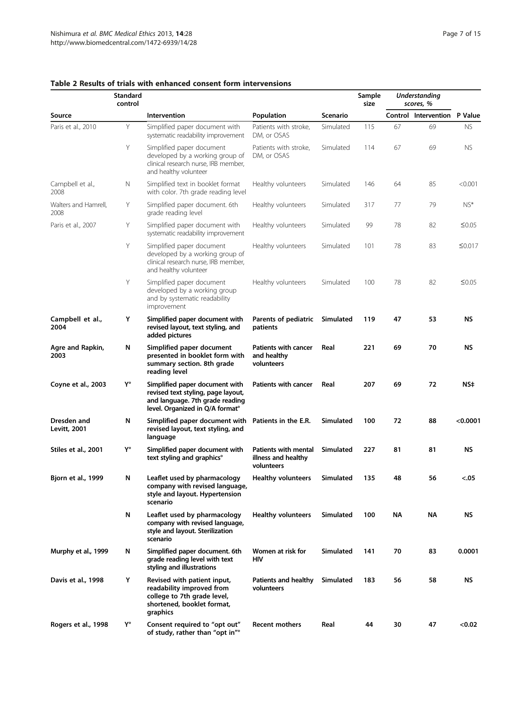|                              | <b>Standard</b><br>control |                                                                                                                                                        |                                                           |                  | Sample<br>size |    | <b>Understanding</b><br>scores, % |              |
|------------------------------|----------------------------|--------------------------------------------------------------------------------------------------------------------------------------------------------|-----------------------------------------------------------|------------------|----------------|----|-----------------------------------|--------------|
| Source                       |                            | Intervention                                                                                                                                           | Population                                                | <b>Scenario</b>  |                |    | Control Intervention P Value      |              |
| Paris et al., 2010           | Y                          | Simplified paper document with<br>systematic readability improvement                                                                                   | Patients with stroke,<br>DM, or OSAS                      | Simulated        | 115            | 67 | 69                                | <b>NS</b>    |
|                              | Y                          | Simplified paper document<br>developed by a working group of<br>clinical research nurse, IRB member,<br>and healthy volunteer                          | Patients with stroke,<br>DM, or OSAS                      | Simulated        | 114            | 67 | 69                                | <b>NS</b>    |
| Campbell et al.,<br>2008     | N                          | Simplified text in booklet format<br>with color. 7th grade reading level                                                                               | Healthy volunteers                                        | Simulated        | 146            | 64 | 85                                | < 0.001      |
| Walters and Hamrell.<br>2008 | Υ                          | Simplified paper document. 6th<br>grade reading level                                                                                                  | Healthy volunteers                                        | Simulated        | 317            | 77 | 79                                | NS*          |
| Paris et al., 2007           | Υ                          | Simplified paper document with<br>systematic readability improvement                                                                                   | Healthy volunteers                                        | Simulated        | 99             | 78 | 82                                | ≤0.05        |
|                              | Y                          | Simplified paper document<br>developed by a working group of<br>clinical research nurse, IRB member,<br>and healthy volunteer                          | Healthy volunteers                                        | Simulated        | 101            | 78 | 83                                | $\leq 0.017$ |
|                              | Y                          | Simplified paper document<br>developed by a working group<br>and by systematic readability<br>improvement                                              | Healthy volunteers                                        | Simulated        | 100            | 78 | 82                                | $\leq 0.05$  |
| Campbell et al.,<br>2004     | Υ                          | Simplified paper document with<br>revised layout, text styling, and<br>added pictures                                                                  | Parents of pediatric<br>patients                          | Simulated        | 119            | 47 | 53                                | <b>NS</b>    |
| Agre and Rapkin,<br>2003     | N                          | Simplified paper document<br>presented in booklet form with<br>summary section. 8th grade<br>reading level                                             | <b>Patients with cancer</b><br>and healthy<br>volunteers  | Real             | 221            | 69 | 70                                | <b>NS</b>    |
| Coyne et al., 2003           | Y°                         | Simplified paper document with<br>revised text styling, page layout,<br>and language. 7th grade reading<br>level. Organized in Q/A format <sup>o</sup> | <b>Patients with cancer</b>                               | Real             | 207            | 69 | 72                                | NS‡          |
| Dresden and<br>Levitt, 2001  | N                          | Simplified paper document with<br>revised layout, text styling, and<br>language                                                                        | Patients in the E.R.                                      | <b>Simulated</b> | 100            | 72 | 88                                | < 0.0001     |
| Stiles et al., 2001          | Y°                         | Simplified paper document with<br>text styling and graphics°                                                                                           | Patients with mental<br>illness and healthy<br>volunteers | <b>Simulated</b> | 227            | 81 | 81                                | <b>NS</b>    |
| <b>Bjorn et al., 1999</b>    | N                          | Leaflet used by pharmacology<br>company with revised language,<br>style and layout. Hypertension<br>scenario                                           | <b>Healthy volunteers</b>                                 | Simulated        | 135            | 48 | 56                                | < 0.05       |
|                              | N                          | Leaflet used by pharmacology<br>company with revised language,<br>style and layout. Sterilization<br>scenario                                          | <b>Healthy volunteers</b>                                 | Simulated        | 100            | NΑ | NΑ                                | <b>NS</b>    |
| Murphy et al., 1999          | N                          | Simplified paper document. 6th<br>grade reading level with text<br>styling and illustrations                                                           | Women at risk for<br>HIV                                  | Simulated        | 141            | 70 | 83                                | 0.0001       |
| Davis et al., 1998           | Y                          | Revised with patient input,<br>readability improved from<br>college to 7th grade level,<br>shortened, booklet format,<br>graphics                      | <b>Patients and healthy</b><br>volunteers                 | <b>Simulated</b> | 183            | 56 | 58                                | ΝS           |
| Rogers et al., 1998          | Y°                         | Consent required to "opt out"<br>of study, rather than "opt in" <sup>o</sup>                                                                           | <b>Recent mothers</b>                                     | Real             | 44             | 30 | 47                                | < 0.02       |

# <span id="page-6-0"></span>Table 2 Results of trials with enhanced consent form intervensions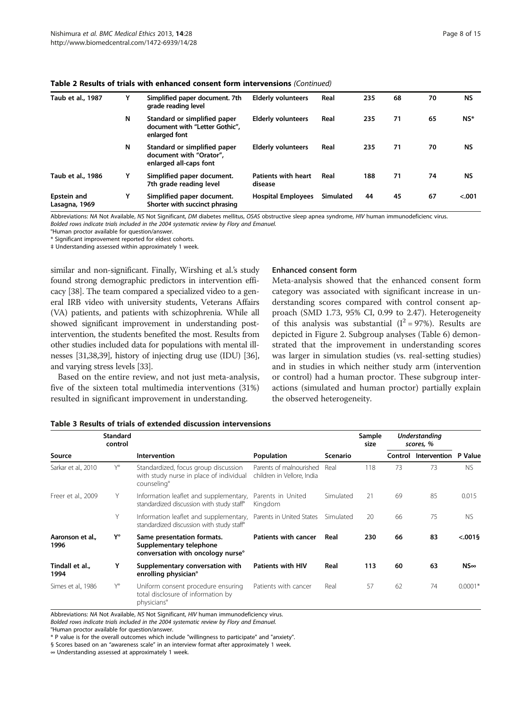| Taub et al., 1987                   | Υ | Simplified paper document. 7th<br>grade reading level                             | <b>Elderly volunteers</b>             | Real      | 235 | 68 | 70 | <b>NS</b> |
|-------------------------------------|---|-----------------------------------------------------------------------------------|---------------------------------------|-----------|-----|----|----|-----------|
|                                     | N | Standard or simplified paper<br>document with "Letter Gothic",<br>enlarged font   | <b>Elderly volunteers</b>             | Real      | 235 | 71 | 65 | NS*       |
|                                     | N | Standard or simplified paper<br>document with "Orator".<br>enlarged all-caps font | <b>Elderly volunteers</b>             | Real      | 235 | 71 | 70 | <b>NS</b> |
| Taub et al., 1986                   | Υ | Simplified paper document.<br>7th grade reading level                             | <b>Patients with heart</b><br>disease | Real      | 188 | 71 | 74 | <b>NS</b> |
| <b>Epstein and</b><br>Lasagna, 1969 | Υ | Simplified paper document.<br>Shorter with succinct phrasing                      | <b>Hospital Employees</b>             | Simulated | 44  | 45 | 67 | < .001    |

#### <span id="page-7-0"></span>Table 2 Results of trials with enhanced consent form intervensions (Continued)

Abbreviations: NA Not Available, NS Not Significant, DM diabetes mellitus, OSAS obstructive sleep apnea syndrome, HIV human immunodeficienc virus. Bolded rows indicate trials included in the 2004 systematic review by Flory and Emanuel.

°Human proctor available for question/answer.

\* Significant improvement reported for eldest cohorts.

‡ Understanding assessed within approximately 1 week.

similar and non-significant. Finally, Wirshing et al.'s study found strong demographic predictors in intervention efficacy [\[38\]](#page-13-0). The team compared a specialized video to a general IRB video with university students, Veterans Affairs (VA) patients, and patients with schizophrenia. While all showed significant improvement in understanding postintervention, the students benefited the most. Results from other studies included data for populations with mental illnesses [[31,38,39](#page-13-0)], history of injecting drug use (IDU) [\[36](#page-13-0)], and varying stress levels [[33](#page-13-0)].

Based on the entire review, and not just meta-analysis, five of the sixteen total multimedia interventions (31%) resulted in significant improvement in understanding.

#### Enhanced consent form

Meta-analysis showed that the enhanced consent form category was associated with significant increase in understanding scores compared with control consent approach (SMD 1.73, 95% CI, 0.99 to 2.47). Heterogeneity of this analysis was substantial  $(I^2 = 97\%)$ . Results are depicted in Figure [2.](#page-8-0) Subgroup analyses (Table [6\)](#page-10-0) demonstrated that the improvement in understanding scores was larger in simulation studies (vs. real-setting studies) and in studies in which neither study arm (intervention or control) had a human proctor. These subgroup interactions (simulated and human proctor) partially explain the observed heterogeneity.

| Table 3 Results of trials of extended discussion intervensions |  |
|----------------------------------------------------------------|--|
|----------------------------------------------------------------|--|

|                          | <b>Standard</b><br>control |                                                                                                            |                                                       |           | Sample<br>size |         | Understanding<br>scores, % |                |
|--------------------------|----------------------------|------------------------------------------------------------------------------------------------------------|-------------------------------------------------------|-----------|----------------|---------|----------------------------|----------------|
| Source                   |                            | Intervention                                                                                               | Population                                            | Scenario  |                | Control | Intervention               | P Value        |
| Sarkar et al., 2010      | Y°                         | Standardized, focus group discussion<br>with study nurse in place of individual<br>counseling <sup>°</sup> | Parents of malnourished<br>children in Vellore, India | Real      | 118            | 73      | 73                         | <b>NS</b>      |
| Freer et al., 2009       | Y                          | Information leaflet and supplementary,<br>standardized discussion with study staff <sup>®</sup>            | Parents in United<br>Kingdom                          | Simulated | 21             | 69      | 85                         | 0.015          |
|                          | Υ                          | Information leaflet and supplementary,<br>standardized discussion with study staff <sup>®</sup>            | Parents in United States                              | Simulated | 20             | 66      | 75                         | <b>NS</b>      |
| Aaronson et al.,<br>1996 | Y°                         | Same presentation formats.<br>Supplementary telephone<br>conversation with oncology nurse <sup>o</sup>     | Patients with cancer                                  | Real      | 230            | 66      | 83                         | $< .001$ §     |
| Tindall et al.,<br>1994  | Y                          | Supplementary conversation with<br>enrolling physician <sup>o</sup>                                        | <b>Patients with HIV</b>                              | Real      | 113            | 60      | 63                         | $N$ S $\infty$ |
| Simes et al., 1986       | Y°                         | Uniform consent procedure ensuring<br>total disclosure of information by<br>physicians <sup>°</sup>        | Patients with cancer                                  | Real      | 57             | 62      | 74                         | $0.0001*$      |

Abbreviations: NA Not Available, NS Not Significant, HIV human immunodeficiency virus.

Bolded rows indicate trials included in the 2004 systematic review by Flory and Emanuel.

°Human proctor available for question/answer.

\* P value is for the overall outcomes which include "willingness to participate" and "anxiety".

§ Scores based on an "awareness scale" in an interview format after approximately 1 week.

∞ Understanding assessed at approximately 1 week.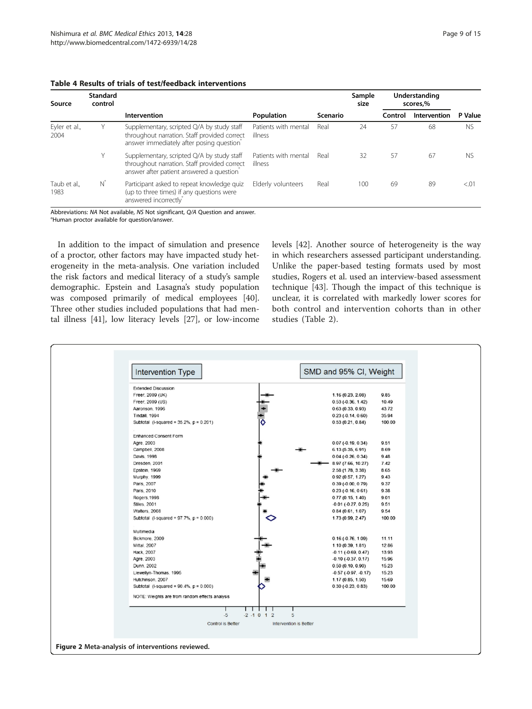| Source                | <b>Standard</b><br>control |                                                                                                                                        |                                 |                 | Sample<br>size | Understanding<br>scores,% |              |           |  |
|-----------------------|----------------------------|----------------------------------------------------------------------------------------------------------------------------------------|---------------------------------|-----------------|----------------|---------------------------|--------------|-----------|--|
|                       |                            | Intervention                                                                                                                           | Population                      | <b>Scenario</b> |                | Control                   | Intervention | P Value   |  |
| Eyler et al.,<br>2004 | Y.                         | Supplementary, scripted Q/A by study staff<br>throughout narration. Staff provided correct<br>answer immediately after posing question | Patients with mental<br>illness | Real            | 24             | 57                        | 68           | <b>NS</b> |  |
|                       | Υ                          | Supplementary, scripted Q/A by study staff<br>throughout narration. Staff provided correct<br>answer after patient answered a question | Patients with mental<br>illness | Real            | 32             | 57                        | 67           | <b>NS</b> |  |
| Taub et al.,<br>1983  | N                          | Participant asked to repeat knowledge quiz<br>(up to three times) if any questions were<br>answered incorrectly                        | Elderly volunteers              | Real            | 100            | 69                        | 89           | < 01      |  |

# <span id="page-8-0"></span>Table 4 Results of trials of test/feedback interventions

Abbreviations: NA Not available, NS Not significant, Q/A Question and answer. °Human proctor available for question/answer.

In addition to the impact of simulation and presence of a proctor, other factors may have impacted study heterogeneity in the meta-analysis. One variation included the risk factors and medical literacy of a study's sample demographic. Epstein and Lasagna's study population was composed primarily of medical employees [\[40](#page-13-0)]. Three other studies included populations that had mental illness [[41\]](#page-13-0), low literacy levels [[27\]](#page-13-0), or low-income levels [\[42](#page-13-0)]. Another source of heterogeneity is the way in which researchers assessed participant understanding. Unlike the paper-based testing formats used by most studies, Rogers et al. used an interview-based assessment technique [\[43](#page-13-0)]. Though the impact of this technique is unclear, it is correlated with markedly lower scores for both control and intervention cohorts than in other studies (Table [2](#page-6-0)).

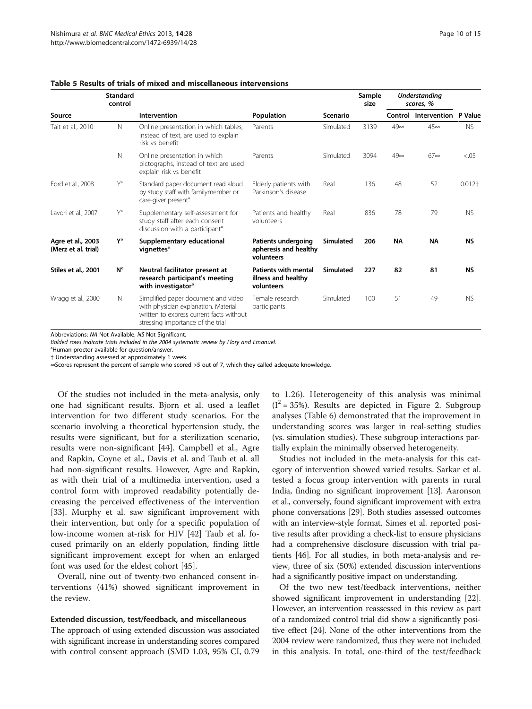|                                          | <b>Standard</b><br>control |                                                                                                                                                              |                                                                  |                  | Sample<br>size |            | <b>Understanding</b><br>scores, % |                |
|------------------------------------------|----------------------------|--------------------------------------------------------------------------------------------------------------------------------------------------------------|------------------------------------------------------------------|------------------|----------------|------------|-----------------------------------|----------------|
| Source                                   |                            | Intervention                                                                                                                                                 | Population                                                       | <b>Scenario</b>  |                |            | Control Intervention              | P Value        |
| Tait et al., 2010                        | Ν                          | Online presentation in which tables,<br>instead of text, are used to explain<br>risk vs benefit                                                              | Parents                                                          | Simulated        | 3139           | $49\infty$ | $45\infty$                        | <b>NS</b>      |
|                                          | N                          | Online presentation in which<br>pictographs, instead of text are used<br>explain risk vs benefit                                                             | Parents                                                          | Simulated        | 3094           | $49\infty$ | $67\infty$                        | < .05          |
| Ford et al., 2008                        | $Y^{\circ}$                | Standard paper document read aloud<br>by study staff with familymember or<br>care-giver present°                                                             | Elderly patients with<br>Parkinson's disease                     | Real             | 136            | 48         | 52                                | $0.012\dagger$ |
| Lavori et al., 2007                      | Y°                         | Supplementary self-assessment for<br>study staff after each consent<br>discussion with a participant <sup>o</sup>                                            | Patients and healthy<br>volunteers                               | Real             | 836            | 78         | 79                                | <b>NS</b>      |
| Agre et al., 2003<br>(Merz et al. trial) | Y°                         | Supplementary educational<br>vignettes°                                                                                                                      | Patients undergoing<br>apheresis and healthy<br>volunteers       | <b>Simulated</b> | 206            | <b>NA</b>  | <b>NA</b>                         | <b>NS</b>      |
| Stiles et al., 2001                      | $N^{\circ}$                | Neutral facilitator present at<br>research participant's meeting<br>with investigator <sup>o</sup>                                                           | <b>Patients with mental</b><br>illness and healthy<br>volunteers | Simulated        | 227            | 82         | 81                                | <b>NS</b>      |
| Wragg et al., 2000                       | N                          | Simplified paper document and video<br>with physician explanation. Material<br>written to express current facts without<br>stressing importance of the trial | Female research<br>participants                                  | Simulated        | 100            | 51         | 49                                | <b>NS</b>      |

#### <span id="page-9-0"></span>Table 5 Results of trials of mixed and miscellaneous intervensions

Abbreviations: NA Not Available, NS Not Significant.

Bolded rows indicate trials included in the 2004 systematic review by Flory and Emanuel.

°Human proctor available for question/answer.

‡ Understanding assessed at approximately 1 week.

∞Scores represent the percent of sample who scored >5 out of 7, which they called adequate knowledge.

Of the studies not included in the meta-analysis, only one had significant results. Bjorn et al. used a leaflet intervention for two different study scenarios. For the scenario involving a theoretical hypertension study, the results were significant, but for a sterilization scenario, results were non-significant [\[44](#page-14-0)]. Campbell et al., Agre and Rapkin, Coyne et al., Davis et al. and Taub et al. all had non-significant results. However, Agre and Rapkin, as with their trial of a multimedia intervention, used a control form with improved readability potentially decreasing the perceived effectiveness of the intervention [[33\]](#page-13-0). Murphy et al. saw significant improvement with their intervention, but only for a specific population of low-income women at-risk for HIV [[42\]](#page-13-0) Taub et al. focused primarily on an elderly population, finding little significant improvement except for when an enlarged font was used for the eldest cohort [[45\]](#page-14-0).

Overall, nine out of twenty-two enhanced consent interventions (41%) showed significant improvement in the review.

#### Extended discussion, test/feedback, and miscellaneous

The approach of using extended discussion was associated with significant increase in understanding scores compared with control consent approach (SMD 1.03, 95% CI, 0.79 to 1.26). Heterogeneity of this analysis was minimal  $(I^2 = 35\%)$ . Results are depicted in Figure [2.](#page-8-0) Subgroup analyses (Table [6\)](#page-10-0) demonstrated that the improvement in understanding scores was larger in real-setting studies (vs. simulation studies). These subgroup interactions partially explain the minimally observed heterogeneity.

Studies not included in the meta-analysis for this category of intervention showed varied results. Sarkar et al. tested a focus group intervention with parents in rural India, finding no significant improvement [\[13\]](#page-13-0). Aaronson et al., conversely, found significant improvement with extra phone conversations [\[29\]](#page-13-0). Both studies assessed outcomes with an interview-style format. Simes et al. reported positive results after providing a check-list to ensure physicians had a comprehensive disclosure discussion with trial patients [[46](#page-14-0)]. For all studies, in both meta-analysis and review, three of six (50%) extended discussion interventions had a significantly positive impact on understanding.

Of the two new test/feedback interventions, neither showed significant improvement in understanding [\[22](#page-13-0)]. However, an intervention reassessed in this review as part of a randomized control trial did show a significantly positive effect [[24](#page-13-0)]. None of the other interventions from the 2004 review were randomized, thus they were not included in this analysis. In total, one-third of the test/feedback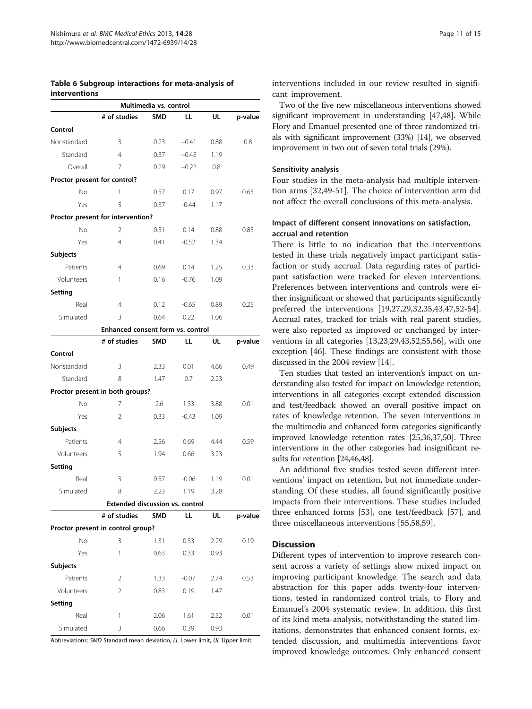#### <span id="page-10-0"></span>Table 6 Subgroup interactions for meta-analysis of interventions

|                              |                                        | Multimedia vs. control |         |      |         |
|------------------------------|----------------------------------------|------------------------|---------|------|---------|
|                              | # of studies                           | <b>SMD</b>             | ᄔ       | ul   | p-value |
| Control                      |                                        |                        |         |      |         |
| Nonstandard                  | 3                                      | 0.23                   | $-0.41$ | 0.88 | 0.8     |
| Standard                     | $\overline{4}$                         | 0.37                   | $-0.45$ | 1.19 |         |
| Overall                      | 7                                      | 0.29                   | $-0.22$ | 0.8  |         |
| Proctor present for control? |                                        |                        |         |      |         |
| <b>No</b>                    | 1                                      | 0.57                   | 0.17    | 0.97 | 0.65    |
| Yes                          | 5                                      | 0.37                   | $-0.44$ | 1.17 |         |
|                              | Proctor present for intervention?      |                        |         |      |         |
| No                           | 2                                      | 0.51                   | 0.14    | 0.88 | 0.85    |
| Yes                          | $\overline{4}$                         | 0.41                   | $-0.52$ | 1.34 |         |
| <b>Subjects</b>              |                                        |                        |         |      |         |
| Patients                     | 4                                      | 0.69                   | 0.14    | 1.25 | 0.33    |
| Volunteers                   | 1                                      | 0.16                   | $-0.76$ | 1.09 |         |
| Setting                      |                                        |                        |         |      |         |
| Real                         | $\overline{4}$                         | 0.12                   | $-0.65$ | 0.89 | 0.25    |
| Simulated                    | 3                                      | 0.64                   | 0.22    | 1.06 |         |
|                              | Enhanced consent form vs. control      |                        |         |      |         |
|                              | # of studies                           | SMD                    | LL      | UL   | p-value |
| Control                      |                                        |                        |         |      |         |
| Nonstandard                  | 3                                      | 2.33                   | 0.01    | 4.66 | 0.49    |
| Standard                     | 8                                      | 1.47                   | 0.7     | 2.23 |         |
|                              | Proctor present in both groups?        |                        |         |      |         |
| No                           | 7                                      | 2.6                    | 1.33    | 3.88 | 0.01    |
| Yes                          | 2                                      | 0.33                   | $-0.43$ | 1.09 |         |
| Subjects                     |                                        |                        |         |      |         |
| Patients                     | 4                                      | 2.56                   | 0.69    | 4.44 | 0.59    |
| Volunteers                   | 5                                      | 1.94                   | 0.66    | 3.23 |         |
| Setting                      |                                        |                        |         |      |         |
| Real                         | 3                                      | 0.57                   | $-0.06$ | 1.19 | 0.01    |
| Simulated                    | 8                                      | 2.23                   | 1.19    | 3.28 |         |
|                              | <b>Extended discussion vs. control</b> |                        |         |      |         |
|                              | # of studies                           | <b>SMD</b>             | ᄔ       | ul   | p-value |
|                              | Proctor present in control group?      |                        |         |      |         |
| No                           | 3                                      | 1.31                   | 0.33    | 2.29 | 0.19    |
| Yes                          | 1                                      | 0.63                   | 0.33    | 0.93 |         |
| <b>Subjects</b>              |                                        |                        |         |      |         |
| Patients                     | 2                                      | 1.33                   | $-0.07$ | 2.74 | 0.53    |
| Volunteers                   | 2                                      | 0.83                   | 0.19    | 1.47 |         |
| Setting                      |                                        |                        |         |      |         |
| Real                         | 1                                      | 2.06                   | 1.61    | 2.52 | 0.01    |
| Simulated                    | 3                                      | 0.66                   | 0.39    | 0.93 |         |
|                              |                                        |                        |         |      |         |

Abbreviations: SMD Standard mean deviation, LL Lower limit, UL Upper limit.

interventions included in our review resulted in significant improvement.

Two of the five new miscellaneous interventions showed significant improvement in understanding [[47,48\]](#page-14-0). While Flory and Emanuel presented one of three randomized trials with significant improvement (33%) [\[14\]](#page-13-0), we observed improvement in two out of seven total trials (29%).

#### Sensitivity analysis

Four studies in the meta-analysis had multiple intervention arms [\[32](#page-13-0)[,49-51](#page-14-0)]. The choice of intervention arm did not affect the overall conclusions of this meta-analysis.

# Impact of different consent innovations on satisfaction, accrual and retention

There is little to no indication that the interventions tested in these trials negatively impact participant satisfaction or study accrual. Data regarding rates of participant satisfaction were tracked for eleven interventions. Preferences between interventions and controls were either insignificant or showed that participants significantly preferred the interventions [[19](#page-13-0),[27,29,32,35,43](#page-13-0)[,47,52-54](#page-14-0)]. Accrual rates, tracked for trials with real parent studies, were also reported as improved or unchanged by interventions in all categories [[13,23](#page-13-0),[29](#page-13-0),[43](#page-13-0),[52,55,56](#page-14-0)], with one exception [[46\]](#page-14-0). These findings are consistent with those discussed in the 2004 review [\[14](#page-13-0)].

Ten studies that tested an intervention's impact on understanding also tested for impact on knowledge retention; interventions in all categories except extended discussion and test/feedback showed an overall positive impact on rates of knowledge retention. The seven interventions in the multimedia and enhanced form categories significantly improved knowledge retention rates [\[25,36,37,](#page-13-0)[50](#page-14-0)]. Three interventions in the other categories had insignificant results for retention [[24](#page-13-0)[,46,48](#page-14-0)].

An additional five studies tested seven different interventions' impact on retention, but not immediate understanding. Of these studies, all found significantly positive impacts from their interventions. These studies included three enhanced forms [\[53](#page-14-0)], one test/feedback [\[57\]](#page-14-0), and three miscellaneous interventions [\[55,58,59](#page-14-0)].

# **Discussion**

Different types of intervention to improve research consent across a variety of settings show mixed impact on improving participant knowledge. The search and data abstraction for this paper adds twenty-four interventions, tested in randomized control trials, to Flory and Emanuel's 2004 systematic review. In addition, this first of its kind meta-analysis, notwithstanding the stated limitations, demonstrates that enhanced consent forms, extended discussion, and multimedia interventions favor improved knowledge outcomes. Only enhanced consent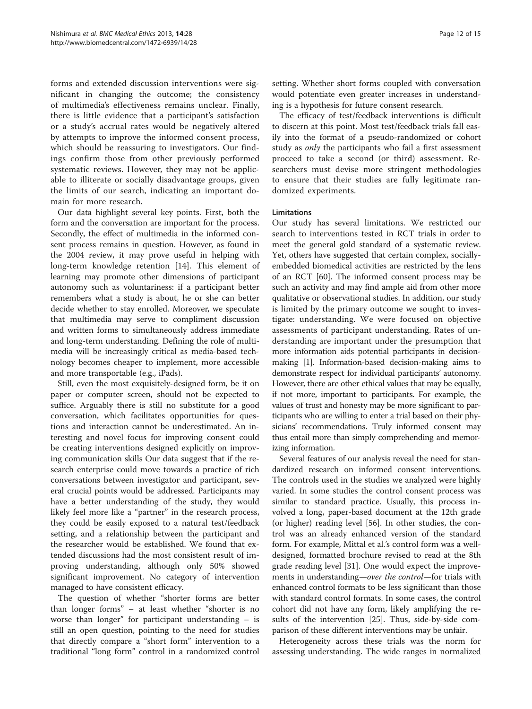forms and extended discussion interventions were significant in changing the outcome; the consistency of multimedia's effectiveness remains unclear. Finally, there is little evidence that a participant's satisfaction or a study's accrual rates would be negatively altered by attempts to improve the informed consent process, which should be reassuring to investigators. Our findings confirm those from other previously performed systematic reviews. However, they may not be applicable to illiterate or socially disadvantage groups, given the limits of our search, indicating an important domain for more research.

Our data highlight several key points. First, both the form and the conversation are important for the process. Secondly, the effect of multimedia in the informed consent process remains in question. However, as found in the 2004 review, it may prove useful in helping with long-term knowledge retention [\[14\]](#page-13-0). This element of learning may promote other dimensions of participant autonomy such as voluntariness: if a participant better remembers what a study is about, he or she can better decide whether to stay enrolled. Moreover, we speculate that multimedia may serve to compliment discussion and written forms to simultaneously address immediate and long-term understanding. Defining the role of multimedia will be increasingly critical as media-based technology becomes cheaper to implement, more accessible and more transportable (e.g., iPads).

Still, even the most exquisitely-designed form, be it on paper or computer screen, should not be expected to suffice. Arguably there is still no substitute for a good conversation, which facilitates opportunities for questions and interaction cannot be underestimated. An interesting and novel focus for improving consent could be creating interventions designed explicitly on improving communication skills Our data suggest that if the research enterprise could move towards a practice of rich conversations between investigator and participant, several crucial points would be addressed. Participants may have a better understanding of the study, they would likely feel more like a "partner" in the research process, they could be easily exposed to a natural test/feedback setting, and a relationship between the participant and the researcher would be established. We found that extended discussions had the most consistent result of improving understanding, although only 50% showed significant improvement. No category of intervention managed to have consistent efficacy.

The question of whether "shorter forms are better than longer forms" – at least whether "shorter is no worse than longer" for participant understanding – is still an open question, pointing to the need for studies that directly compare a "short form" intervention to a traditional "long form" control in a randomized control

setting. Whether short forms coupled with conversation would potentiate even greater increases in understanding is a hypothesis for future consent research.

The efficacy of test/feedback interventions is difficult to discern at this point. Most test/feedback trials fall easily into the format of a pseudo-randomized or cohort study as *only* the participants who fail a first assessment proceed to take a second (or third) assessment. Researchers must devise more stringent methodologies to ensure that their studies are fully legitimate randomized experiments.

# Limitations

Our study has several limitations. We restricted our search to interventions tested in RCT trials in order to meet the general gold standard of a systematic review. Yet, others have suggested that certain complex, sociallyembedded biomedical activities are restricted by the lens of an RCT [\[60](#page-14-0)]. The informed consent process may be such an activity and may find ample aid from other more qualitative or observational studies. In addition, our study is limited by the primary outcome we sought to investigate: understanding. We were focused on objective assessments of participant understanding. Rates of understanding are important under the presumption that more information aids potential participants in decisionmaking [\[1](#page-13-0)]. Information-based decision-making aims to demonstrate respect for individual participants' autonomy. However, there are other ethical values that may be equally, if not more, important to participants. For example, the values of trust and honesty may be more significant to participants who are willing to enter a trial based on their physicians' recommendations. Truly informed consent may thus entail more than simply comprehending and memorizing information.

Several features of our analysis reveal the need for standardized research on informed consent interventions. The controls used in the studies we analyzed were highly varied. In some studies the control consent process was similar to standard practice. Usually, this process involved a long, paper-based document at the 12th grade (or higher) reading level [[56](#page-14-0)]. In other studies, the control was an already enhanced version of the standard form. For example, Mittal et al.'s control form was a welldesigned, formatted brochure revised to read at the 8th grade reading level [[31](#page-13-0)]. One would expect the improvements in understanding—over the control—for trials with enhanced control formats to be less significant than those with standard control formats. In some cases, the control cohort did not have any form, likely amplifying the results of the intervention [\[25](#page-13-0)]. Thus, side-by-side comparison of these different interventions may be unfair.

Heterogeneity across these trials was the norm for assessing understanding. The wide ranges in normalized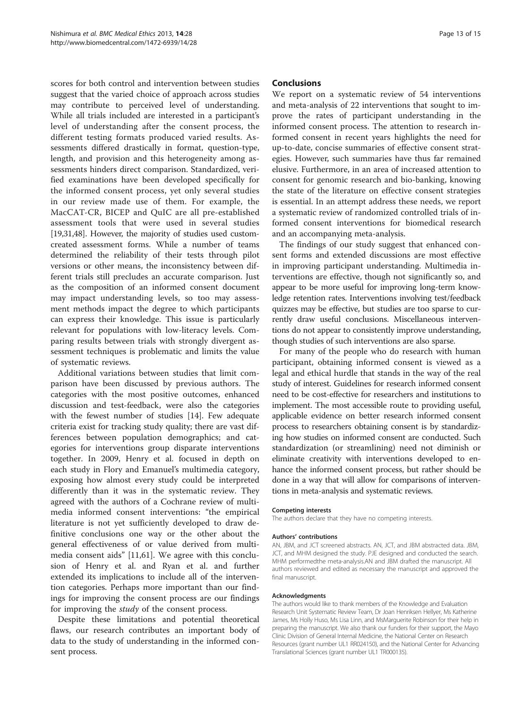scores for both control and intervention between studies suggest that the varied choice of approach across studies may contribute to perceived level of understanding. While all trials included are interested in a participant's level of understanding after the consent process, the different testing formats produced varied results. Assessments differed drastically in format, question-type, length, and provision and this heterogeneity among assessments hinders direct comparison. Standardized, verified examinations have been developed specifically for the informed consent process, yet only several studies in our review made use of them. For example, the MacCAT-CR, BICEP and QuIC are all pre-established assessment tools that were used in several studies [[19,31,](#page-13-0)[48](#page-14-0)]. However, the majority of studies used customcreated assessment forms. While a number of teams determined the reliability of their tests through pilot versions or other means, the inconsistency between different trials still precludes an accurate comparison. Just as the composition of an informed consent document may impact understanding levels, so too may assessment methods impact the degree to which participants can express their knowledge. This issue is particularly relevant for populations with low-literacy levels. Comparing results between trials with strongly divergent assessment techniques is problematic and limits the value of systematic reviews.

Additional variations between studies that limit comparison have been discussed by previous authors. The categories with the most positive outcomes, enhanced discussion and test-feedback, were also the categories with the fewest number of studies [[14\]](#page-13-0). Few adequate criteria exist for tracking study quality; there are vast differences between population demographics; and categories for interventions group disparate interventions together. In 2009, Henry et al. focused in depth on each study in Flory and Emanuel's multimedia category, exposing how almost every study could be interpreted differently than it was in the systematic review. They agreed with the authors of a Cochrane review of multimedia informed consent interventions: "the empirical literature is not yet sufficiently developed to draw definitive conclusions one way or the other about the general effectiveness of or value derived from multimedia consent aids" [\[11](#page-13-0)[,61](#page-14-0)]. We agree with this conclusion of Henry et al. and Ryan et al. and further extended its implications to include all of the intervention categories. Perhaps more important than our findings for improving the consent process are our findings for improving the *study* of the consent process.

Despite these limitations and potential theoretical flaws, our research contributes an important body of data to the study of understanding in the informed consent process.

# Conclusions

We report on a systematic review of 54 interventions and meta-analysis of 22 interventions that sought to improve the rates of participant understanding in the informed consent process. The attention to research informed consent in recent years highlights the need for up-to-date, concise summaries of effective consent strategies. However, such summaries have thus far remained elusive. Furthermore, in an area of increased attention to consent for genomic research and bio-banking, knowing the state of the literature on effective consent strategies is essential. In an attempt address these needs, we report a systematic review of randomized controlled trials of informed consent interventions for biomedical research and an accompanying meta-analysis.

The findings of our study suggest that enhanced consent forms and extended discussions are most effective in improving participant understanding. Multimedia interventions are effective, though not significantly so, and appear to be more useful for improving long-term knowledge retention rates. Interventions involving test/feedback quizzes may be effective, but studies are too sparse to currently draw useful conclusions. Miscellaneous interventions do not appear to consistently improve understanding, though studies of such interventions are also sparse.

For many of the people who do research with human participant, obtaining informed consent is viewed as a legal and ethical hurdle that stands in the way of the real study of interest. Guidelines for research informed consent need to be cost-effective for researchers and institutions to implement. The most accessible route to providing useful, applicable evidence on better research informed consent process to researchers obtaining consent is by standardizing how studies on informed consent are conducted. Such standardization (or streamlining) need not diminish or eliminate creativity with interventions developed to enhance the informed consent process, but rather should be done in a way that will allow for comparisons of interventions in meta-analysis and systematic reviews.

#### Competing interests

The authors declare that they have no competing interests.

#### Authors' contributions

AN, JBM, and JCT screened abstracts. AN, JCT, and JBM abstracted data. JBM, JCT, and MHM designed the study. PJE designed and conducted the search. MHM performedthe meta-analysis.AN and JBM drafted the manuscript. All authors reviewed and edited as necessary the manuscript and approved the final manuscript.

#### Acknowledgments

The authors would like to thank members of the Knowledge and Evaluation Research Unit Systematic Review Team, Dr Joan Henriksen Hellyer, Ms Katherine James, Ms Holly Huso, Ms Lisa Linn, and MsMarguerite Robinson for their help in preparing the manuscript. We also thank our funders for their support, the Mayo Clinic Division of General Internal Medicine, the National Center on Research Resources (grant number UL1 RR024150), and the National Center for Advancing Translational Sciences (grant number UL1 TR000135).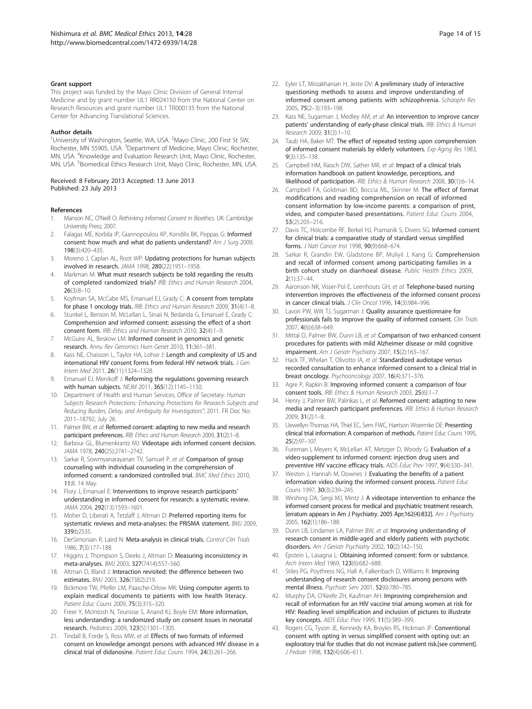#### <span id="page-13-0"></span>Grant support

This project was funded by the Mayo Clinic Division of General Internal Medicine and by grant number UL1 RR024150 from the National Center on Research Resources and grant number UL1 TR000135 from the National Center for Advancing Translational Sciences.

#### Author details

<sup>1</sup>University of Washington, Seattle, WA, USA. <sup>2</sup>Mayo Clinic, 200 First St SW, Rochester, MN 55905, USA. <sup>3</sup>Department of Medicine, Mayo Clinic, Rochester, MN, USA. <sup>4</sup>Knowledge and Evaluation Research Unit, Mayo Clinic, Rochester, MN, USA. <sup>5</sup>Biomedical Ethics Research Unit, Mayo Clinic, Rochester, MN, USA.

#### Received: 8 February 2013 Accepted: 13 June 2013 Published: 23 July 2013

#### References

- 1. Manson NC, O'Neill O: Rethinking Informed Consent in Bioethics. UK: Cambridge University Press; 2007.
- Falagas ME, Korbila IP, Giannopoulou KP, Kondilis BK, Peppas G: Informed consent: how much and what do patients understand? Am J Surg 2009, 198(3):420–435.
- 3. Moreno J, Caplan AL, Root WP: Updating protections for human subjects involved in research. JAMA 1998, 280(22):1951–1958.
- 4. Markman M: What must research subjects be told regarding the results of completed randomized trials? IRB: Ethics and Human Research 2004, 26(3):8–10.
- 5. Koyfman SA, McCabe MS, Emanuel EJ, Grady C: A consent from template for phase 1 oncology trials. IRB: Ethics and Human Research 2009, 31(4):1–8.
- 6. Stunkel L, Benson M, McLellan L, Sinaii N, Bedarida G, Emanuel E, Grady C: Comprehension and informed consent: assessing the effect of a short consent form. IRB: Ethics and Human Research 2010, 32(4):1–9.
- 7. McGuire AL, Beskow LM: Informed consent in genomics and genetic research. Annu Rev Genomics Hum Genet 2010, 11:361–381.
- Kass NE, Chaisson L, Taylor HA, Lohse J: Length and complexity of US and international HIV consent forms from federal HIV network trials. J Gen Intern Med 2011, 26(11):1324–1328.
- 9. Emanuel EJ, Menikoff J: Reforming the regulations governing research with human subjects. NEJM 2011, 365(12):1145–1150.
- 10. Department of Health and Human Services, Office of Secretary: Human Subjects Research Protections: Enhancing Protections for Research Subjects and Reducing Burden, Delay, and Ambiguity for Investigators"; 2011. FR Doc No: 2011–18792, July 26.
- 11. Palmer BW, et al: Reformed consent: adapting to new media and research participant preferences. IRB: Ethics and Human Research 2009, 31(2):1-8.
- 12. Barbour GL, Blumenkrantz MJ: Videotape aids informed consent decision. JAMA 1978, 240(25):2741–2742.
- 13. Sarkar R, Sowmyanarayanan TV, Samuel P, et al: Comparison of group counseling with individual counseling in the comprehension of informed consent: a randomized controlled trial. BMC Med Ethics 2010, 11:8. 14 May.
- 14. Flory J, Emanuel E: Interventions to improve research participants' understanding in informed consent for research: a systematic review. JAMA 2004, 292(13):1593–1601.
- 15. Moher D, Liberati A, Tetzlaff J, Altman D: Preferred reporting items for systematic reviews and meta-analyses: the PRISMA statement. BMJ 2009, 339:b2535.
- 16. DerSimonian R, Laird N: Meta-analysis in clinical trials. Control Clin Trials 1986, 7(3):177–188.
- 17. Higgins J, Thompson S, Deeks J, Altman D: Measuring inconsistency in meta-analyses. BMJ 2003, 327(7414):557–560.
- 18. Altman D, Bland J: Interaction revisited: the difference between two estimates. BMJ 2003, 326(7382):219.
- 19. Bickmore TW, Pfeifer LM, Paasche-Orlow MK: Using computer agents to explain medical documents to patients with low health literacy. Patient Educ Couns 2009, 75(3):315–320.
- 20. Freer Y, McIntosh N, Teunisse S, Anand KJ, Boyle EM: More information, less understanding: a randomized study on consent issues in neonatal research. Pediatrics 2009, 123(5):1301–1305.
- 21. Tindall B, Forde S, Ross MW, et al: Effects of two formats of informed consent on knowledge amongst persons with advanced HIV disease in a clinical trial of didanosine. Patient Educ Couns 1994, 24(3):261–266.
- 22. Eyler LT, Mirzakhanian H, Jeste DV: A preliminary study of interactive questioning methods to assess and improve understanding of informed consent among patients with schizophrenia. Schizophr Res 2005, 75(2–3):193–198.
- 23. Kass NE, Sugarman J, Medley AM, et al: An intervention to improve cancer patients' understanding of early-phase clinical trials. IRB: Ethics & Human Research 2009, 31(3):1–10.
- 24. Taub HA, Baker MT: The effect of repeated testing upon comprehension of informed consent materials by elderly volunteers. Exp Aging Res 1983,  $9(3):135-138$
- 25. Campbell HM, Raisch DW, Sather MR, et al: Impact of a clinical trials information handbook on patient knowledge, perceptions, and likelihood of participation. IRB: Ethics & Human Research 2008, 30(1):6-14.
- 26. Campbell FA, Goldman BD, Boccia ML, Skinner M: The effect of format modifications and reading comprehension on recall of informed consent information by low-income parents: a comparison of print, video, and computer-based presentations. Patient Educ Couns 2004, 53(2):205–216.
- 27. Davis TC, Holcombe RF, Berkel HJ, Pramanik S, Divers SG: Informed consent for clinical trials: a comparative study of standard versus simplified forms. J Natl Cancer Inst 1998, 90(9):668–674.
- Sarkar R, Grandin EW, Gladstone BP, Muliyil J, Kang G: Comprehension and recall of informed consent among participating families in a birth cohort study on diarrhoeal disease. Public Health Ethics 2009, 2(1):37–44.
- 29. Aaronson NK, Visser-Pol E, Leenhouts GH, et al: Telephone-based nursing intervention improves the effectiveness of the informed consent process in cancer clinical trials. J Clin Oncol 1996, 14(3):984-996.
- 30. Lavori PW, Wilt TJ, Sugarman J: Quality assurance questionnaire for professionals fails to improve the quality of informed consent. Clin Trials 2007, 4(6):638–649.
- 31. Mittal D, Palmer BW, Dunn LB, et al: Comparison of two enhanced consent procedures for patients with mild Alzheimer disease or mild cognitive impairment. Am J Geriatr Psychiatry 2007, 15(2):163-167.
- 32. Hack TF, Whelan T, Olivotto IA, et al: Standardized audiotape versus recorded consultation to enhance informed consent to a clinical trial in breast oncology. Psychooncology 2007, 16(4):371–376.
- 33. Agre P, Rapkin B: Improving informed consent: a comparison of four consent tools. IRB: Ethics & Human Research 2003, 25(6):1–7.
- 34. Henry J, Palmer BW, Palinkas L, et al: Reformed consent: adapting to new media and research participant preferences. IRB: Ethics & Human Research 2009, 31(2):1–8.
- 35. Llewellyn-Thomas HA, Thiel EC, Sem FWC, Harrison Woermke DE: Presenting clinical trial information: A comparison of methods. Patient Educ Couns 1995, 25(2):97–107.
- 36. Fureman I, Meyers K, McLellan AT, Metzger D, Woody G: Evaluation of a video-supplement to informed consent: injection drug users and preventive HIV vaccine efficacy trials. AIDS Educ Prev 1997, 9(4):330–341.
- 37. Weston J, Hannah M, Downes J: Evaluating the benefits of a patient information video during the informed consent process. Patient Educ Couns 1997, 30(3):239–245.
- 38. Wirshing DA, Sergi MJ, Mintz J: A videotape intervention to enhance the informed consent process for medical and psychiatric treatment research. [erratum appears in Am J Psychiatry. 2005 Apr;162(4):832]. Am J Psychiatry 2005, 162(1):186–188.
- 39. Dunn LB, Lindamer LA, Palmer BW, et al: Improving understanding of research consent in middle-aged and elderly patients with psychotic disorders. Am J Geriatr Psychiatry 2002, 10(2):142-150.
- 40. Epstein L, Lasagna L: Obtaining informed consent: form or substance. Arch Intern Med 1969, 123(6):682–688.
- 41. Stiles PG, Poythress NG, Hall A, Falkenbach D, Williams R: Improving understanding of research consent disclosures among persons with mental illness. Psychiatr Serv 2001, 52(6):780–785.
- 42. Murphy DA, O'Keefe ZH, Kaufman AH: Improving comprehension and recall of information for an HIV vaccine trial among women at risk for HIV: Reading level simplification and inclusion of pictures to illustrate key concepts. AIDS Educ Prev 1999, 11(5):389–399.
- 43. Rogers CG, Tyson JE, Kennedy KA, Broyles RS, Hickman JF: Conventional consent with opting in versus simplified consent with opting out: an exploratory trial for studies that do not increase patient risk.[see comment]. J Pediatr 1998, 132(4):606–611.